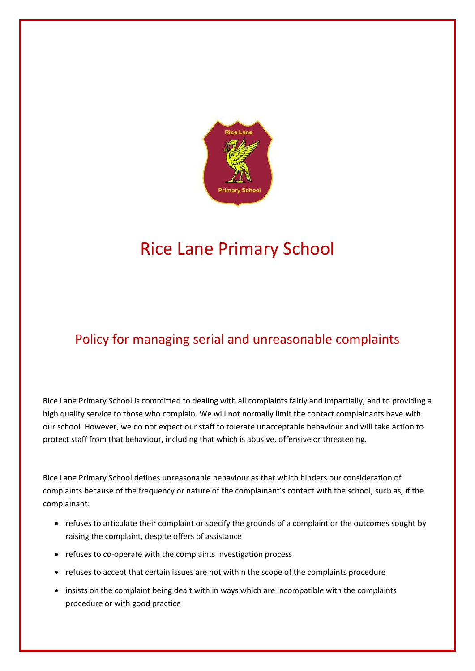

## Rice Lane Primary School

## Policy for managing serial and unreasonable complaints

Rice Lane Primary School is committed to dealing with all complaints fairly and impartially, and to providing a high quality service to those who complain. We will not normally limit the contact complainants have with our school. However, we do not expect our staff to tolerate unacceptable behaviour and will take action to protect staff from that behaviour, including that which is abusive, offensive or threatening.

Rice Lane Primary School defines unreasonable behaviour as that which hinders our consideration of complaints because of the frequency or nature of the complainant's contact with the school, such as, if the complainant:

- refuses to articulate their complaint or specify the grounds of a complaint or the outcomes sought by raising the complaint, despite offers of assistance
- refuses to co-operate with the complaints investigation process
- refuses to accept that certain issues are not within the scope of the complaints procedure
- insists on the complaint being dealt with in ways which are incompatible with the complaints procedure or with good practice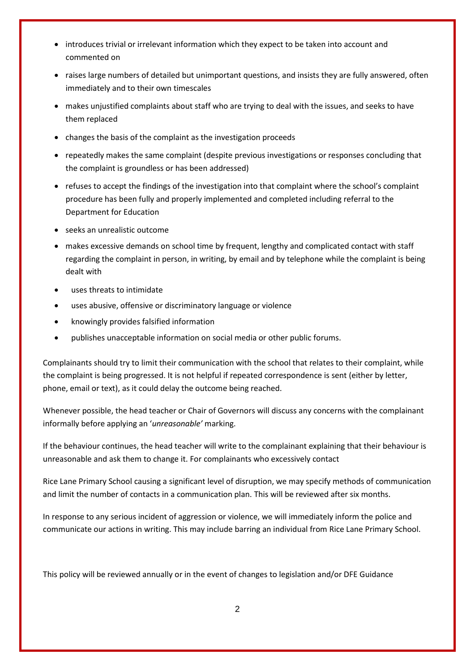- introduces trivial or irrelevant information which they expect to be taken into account and commented on
- raises large numbers of detailed but unimportant questions, and insists they are fully answered, often immediately and to their own timescales
- makes unjustified complaints about staff who are trying to deal with the issues, and seeks to have them replaced
- changes the basis of the complaint as the investigation proceeds
- repeatedly makes the same complaint (despite previous investigations or responses concluding that the complaint is groundless or has been addressed)
- refuses to accept the findings of the investigation into that complaint where the school's complaint procedure has been fully and properly implemented and completed including referral to the Department for Education
- seeks an unrealistic outcome
- makes excessive demands on school time by frequent, lengthy and complicated contact with staff regarding the complaint in person, in writing, by email and by telephone while the complaint is being dealt with
- uses threats to intimidate
- uses abusive, offensive or discriminatory language or violence
- knowingly provides falsified information
- publishes unacceptable information on social media or other public forums.

Complainants should try to limit their communication with the school that relates to their complaint, while the complaint is being progressed. It is not helpful if repeated correspondence is sent (either by letter, phone, email or text), as it could delay the outcome being reached.

Whenever possible, the head teacher or Chair of Governors will discuss any concerns with the complainant informally before applying an '*unreasonable'* marking.

If the behaviour continues, the head teacher will write to the complainant explaining that their behaviour is unreasonable and ask them to change it. For complainants who excessively contact

Rice Lane Primary School causing a significant level of disruption, we may specify methods of communication and limit the number of contacts in a communication plan. This will be reviewed after six months.

In response to any serious incident of aggression or violence, we will immediately inform the police and communicate our actions in writing. This may include barring an individual from Rice Lane Primary School.

This policy will be reviewed annually or in the event of changes to legislation and/or DFE Guidance